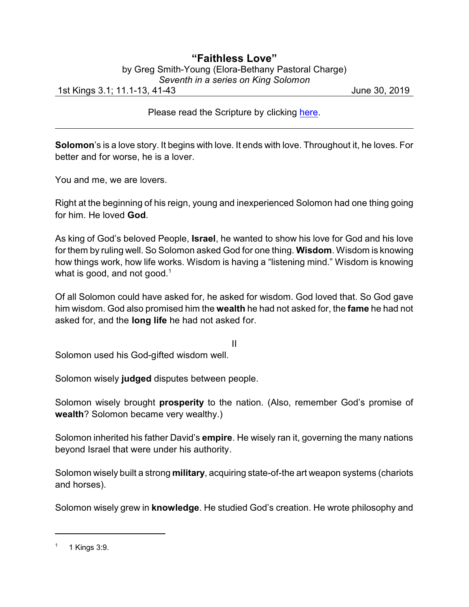## **"Faithless Love"** by Greg Smith-Young (Elora-Bethany Pastoral Charge) *Seventh in a series on King Solomon*

1st Kings 3.1; 11.1-13, 41-43 June 30, 2019

Please read the Scripture by clicking [here](https://www.biblegateway.com/passage/?search=1+Kings+3.1%3B+11.1-13%2C+41-43&version=CEB).

**Solomon**'s is a love story. It begins with love. It ends with love. Throughout it, he loves. For better and for worse, he is a lover.

You and me, we are lovers.

Right at the beginning of his reign, young and inexperienced Solomon had one thing going for him. He loved **God**.

As king of God's beloved People, **Israel**, he wanted to show his love for God and his love for them by ruling well. So Solomon asked God for one thing. **Wisdom**. Wisdom is knowing how things work, how life works. Wisdom is having a "listening mind." Wisdom is knowing what is good, and not good.<sup>1</sup>

Of all Solomon could have asked for, he asked for wisdom. God loved that. So God gave him wisdom. God also promised him the **wealth** he had not asked for, the **fame** he had not asked for, and the **long life** he had not asked for.

II

Solomon used his God-gifted wisdom well.

Solomon wisely **judged** disputes between people.

Solomon wisely brought **prosperity** to the nation. (Also, remember God's promise of **wealth**? Solomon became very wealthy.)

Solomon inherited his father David's **empire**. He wisely ran it, governing the many nations beyond Israel that were under his authority.

Solomon wisely built a strong **military**, acquiring state-of-the art weapon systems (chariots and horses).

Solomon wisely grew in **knowledge**. He studied God's creation. He wrote philosophy and

<sup>1</sup> 1 Kings 3:9.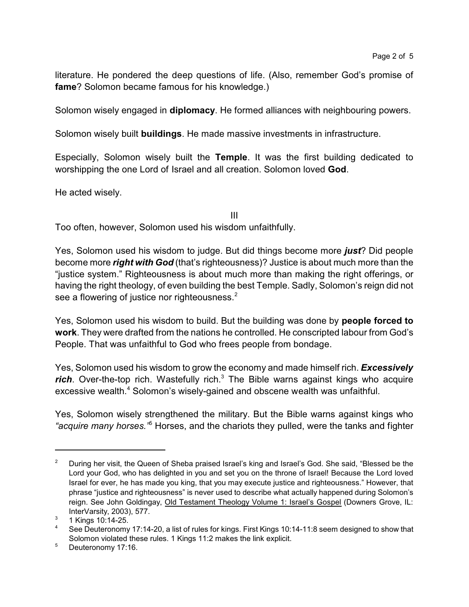literature. He pondered the deep questions of life. (Also, remember God's promise of **fame**? Solomon became famous for his knowledge.)

Solomon wisely engaged in **diplomacy**. He formed alliances with neighbouring powers.

Solomon wisely built **buildings**. He made massive investments in infrastructure.

Especially, Solomon wisely built the **Temple**. It was the first building dedicated to worshipping the one Lord of Israel and all creation. Solomon loved **God**.

He acted wisely.

III

Too often, however, Solomon used his wisdom unfaithfully.

Yes, Solomon used his wisdom to judge. But did things become more *just*? Did people become more *right with God* (that's righteousness)? Justice is about much more than the "justice system." Righteousness is about much more than making the right offerings, or having the right theology, of even building the best Temple. Sadly, Solomon's reign did not see a flowering of justice nor righteousness.<sup>2</sup>

Yes, Solomon used his wisdom to build. But the building was done by **people forced to work**. They were drafted from the nations he controlled. He conscripted labour from God's People. That was unfaithful to God who frees people from bondage.

Yes, Solomon used his wisdom to grow the economy and made himself rich. *Excessively rich*. Over-the-top rich. Wastefully rich.<sup>3</sup> The Bible warns against kings who acquire excessive wealth.<sup>4</sup> Solomon's wisely-gained and obscene wealth was unfaithful.

Yes, Solomon wisely strengthened the military. But the Bible warns against kings who *"acquire many horses."*<sup>5</sup> Horses, and the chariots they pulled, were the tanks and fighter

<sup>&</sup>lt;sup>2</sup> During her visit, the Queen of Sheba praised Israel's king and Israel's God. She said, "Blessed be the Lord your God, who has delighted in you and set you on the throne of Israel! Because the Lord loved Israel for ever, he has made you king, that you may execute justice and righteousness." However, that phrase "justice and righteousness" is never used to describe what actually happened during Solomon's reign. See John Goldingay, Old Testament Theology Volume 1: Israel's Gospel (Downers Grove, IL: InterVarsity, 2003), 577.

<sup>3</sup> 1 Kings 10:14-25.

<sup>&</sup>lt;sup>4</sup> See Deuteronomy 17:14-20, a list of rules for kings. First Kings 10:14-11:8 seem designed to show that Solomon violated these rules. 1 Kings 11:2 makes the link explicit.

<sup>5</sup> Deuteronomy 17:16.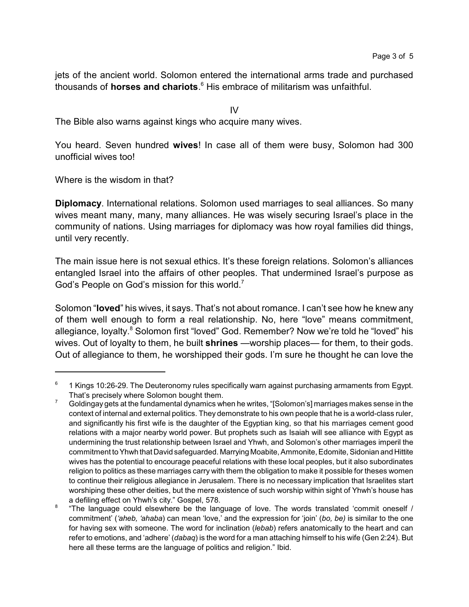jets of the ancient world. Solomon entered the international arms trade and purchased thousands of **horses and chariots**. 6 His embrace of militarism was unfaithful.

IV

The Bible also warns against kings who acquire many wives.

You heard. Seven hundred **wives**! In case all of them were busy, Solomon had 300 unofficial wives too!

Where is the wisdom in that?

**Diplomacy**. International relations. Solomon used marriages to seal alliances. So many wives meant many, many, many alliances. He was wisely securing Israel's place in the community of nations. Using marriages for diplomacy was how royal families did things, until very recently.

The main issue here is not sexual ethics. It's these foreign relations. Solomon's alliances entangled Israel into the affairs of other peoples. That undermined Israel's purpose as God's People on God's mission for this world.<sup>7</sup>

Solomon "**loved**" his wives, it says. That's not about romance. I can't see how he knew any of them well enough to form a real relationship. No, here "love" means commitment, allegiance, loyalty.<sup>8</sup> Solomon first "loved" God. Remember? Now we're told he "loved" his wives. Out of loyalty to them, he built **shrines** —worship places— for them, to their gods. Out of allegiance to them, he worshipped their gods. I'm sure he thought he can love the

<sup>6</sup> 1 Kings 10:26-29. The Deuteronomy rules specifically warn against purchasing armaments from Egypt. That's precisely where Solomon bought them.

 $7$  Goldingay gets at the fundamental dynamics when he writes, "[Solomon's] marriages makes sense in the context of internal and external politics. They demonstrate to his own people that he is a world-class ruler, and significantly his first wife is the daughter of the Egyptian king, so that his marriages cement good relations with a major nearby world power. But prophets such as Isaiah will see alliance with Egypt as undermining the trust relationship between Israel and Yhwh, and Solomon's other marriages imperil the commitment to Yhwh that David safeguarded. Marrying Moabite, Ammonite, Edomite, Sidonian and Hittite wives has the potential to encourage peaceful relations with these local peoples, but it also subordinates religion to politics as these marriages carry with them the obligation to make it possible for theses women to continue their religious allegiance in Jerusalem. There is no necessary implication that Israelites start worshiping these other deities, but the mere existence of such worship within sight of Yhwh's house has a defiling effect on Yhwh's city." Gospel, 578.

<sup>8</sup> "The language could elsewhere be the language of love. The words translated 'commit oneself / commitment' (*'aheb, 'ahaba*) can mean 'love,' and the expression for 'join' (*bo, be)* is similar to the one for having sex with someone. The word for inclination (*lebab*) refers anatomically to the heart and can refer to emotions, and 'adhere' (*dabaq*) is the word for a man attaching himself to his wife (Gen 2:24). But here all these terms are the language of politics and religion." Ibid.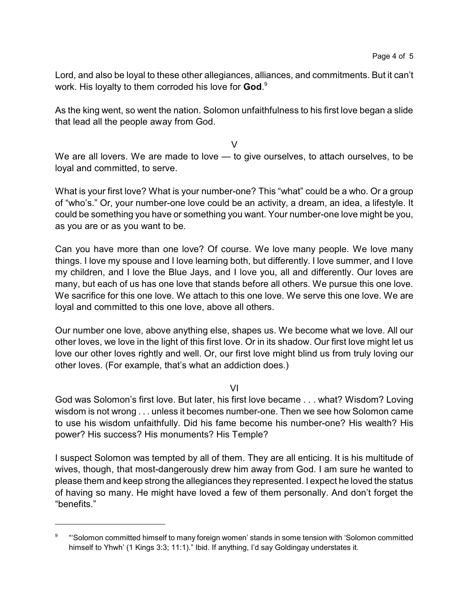Lord, and also be loyal to these other allegiances, alliances, and commitments. But it can't work. His loyalty to them corroded his love for **God**. 9

As the king went, so went the nation. Solomon unfaithfulness to his first love began a slide that lead all the people away from God.

 $\vee$ 

We are all lovers. We are made to love — to give ourselves, to attach ourselves, to be loyal and committed, to serve.

What is your first love? What is your number-one? This "what" could be a who. Or a group of "who's." Or, your number-one love could be an activity, a dream, an idea, a lifestyle. It could be something you have or something you want. Your number-one love might be you, as you are or as you want to be.

Can you have more than one love? Of course. We love many people. We love many things. I love my spouse and I love learning both, but differently. I love summer, and I love my children, and I love the Blue Jays, and I love you, all and differently. Our loves are many, but each of us has one love that stands before all others. We pursue this one love. We sacrifice for this one love. We attach to this one love. We serve this one love. We are loyal and committed to this one love, above all others.

Our number one love, above anything else, shapes us. We become what we love. All our other loves, we love in the light of this first love. Or in its shadow. Our first love might let us love our other loves rightly and well. Or, our first love might blind us from truly loving our other loves. (For example, that's what an addiction does.)

VI

God was Solomon's first love. But later, his first love became . . . what? Wisdom? Loving wisdom is not wrong . . . unless it becomes number-one. Then we see how Solomon came to use his wisdom unfaithfully. Did his fame become his number-one? His wealth? His power? His success? His monuments? His Temple?

I suspect Solomon was tempted by all of them. They are all enticing. It is his multitude of wives, though, that most-dangerously drew him away from God. I am sure he wanted to please them and keep strong the allegiances they represented. I expect he loved the status of having so many. He might have loved a few of them personally. And don't forget the "benefits."

<sup>9</sup> "'Solomon committed himself to many foreign women' stands in some tension with 'Solomon committed himself to Yhwh' (1 Kings 3:3; 11:1)." Ibid. If anything, I'd say Goldingay understates it.